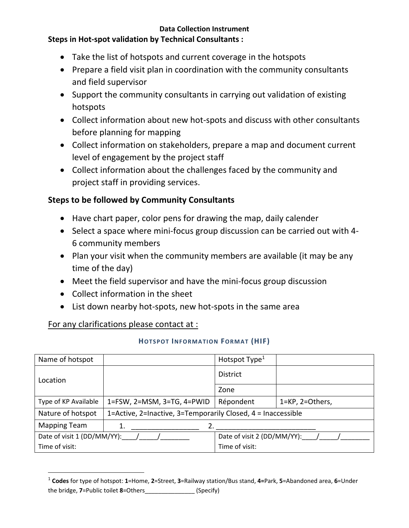#### **Data Collection Instrument**

### **Steps in Hot-spot validation by Technical Consultants :**

- Take the list of hotspots and current coverage in the hotspots
- Prepare a field visit plan in coordination with the community consultants and field supervisor
- Support the community consultants in carrying out validation of existing hotspots
- Collect information about new hot-spots and discuss with other consultants before planning for mapping
- Collect information on stakeholders, prepare a map and document current level of engagement by the project staff
- Collect information about the challenges faced by the community and project staff in providing services.

# **Steps to be followed by Community Consultants**

- Have chart paper, color pens for drawing the map, daily calender
- Select a space where mini-focus group discussion can be carried out with 4- 6 community members
- Plan your visit when the community members are available (it may be any time of the day)
- Meet the field supervisor and have the mini-focus group discussion
- Collect information in the sheet
- List down nearby hot-spots, new hot-spots in the same area

## For any clarifications please contact at :

### **HOTSPOT INFORMATION FORMAT (HIF)**

| Name of hotspot             |                                                              | Hotspot Type <sup>1</sup>   |                 |
|-----------------------------|--------------------------------------------------------------|-----------------------------|-----------------|
| Location                    |                                                              | <b>District</b>             |                 |
|                             |                                                              | Zone                        |                 |
| Type of KP Available        | 1=FSW, 2=MSM, 3=TG, 4=PWID                                   | Répondent                   | 1=KP, 2=Others, |
| Nature of hotspot           | 1=Active, 2=Inactive, 3=Temporarily Closed, 4 = Inaccessible |                             |                 |
| <b>Mapping Team</b>         | 1.                                                           |                             |                 |
| Date of visit 1 (DD/MM/YY): |                                                              | Date of visit 2 (DD/MM/YY): |                 |
| Time of visit:              |                                                              | Time of visit:              |                 |

<sup>1</sup> **Codes** for type of hotspot: **1**=Home, **2**=Street, **3**=Railway station/Bus stand, **4=**Park, **5**=Abandoned area, **6**=Under the bridge, **7**=Public toilet **8**=Others\_\_\_\_\_\_\_\_\_\_\_\_\_\_\_ (Specify)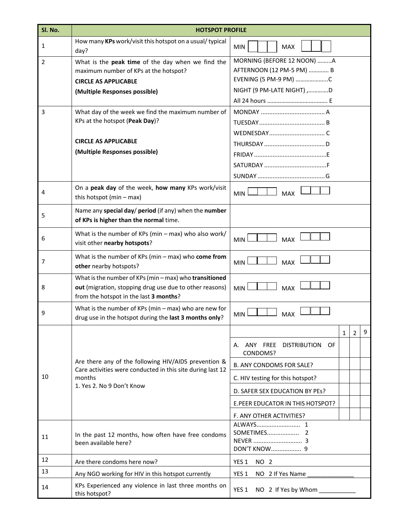| Sl. No.        | <b>HOTSPOT PROFILE</b>                                                                                                                                      |                                                                                                                                                                                                         |  |  |  |
|----------------|-------------------------------------------------------------------------------------------------------------------------------------------------------------|---------------------------------------------------------------------------------------------------------------------------------------------------------------------------------------------------------|--|--|--|
| 1              | How many KPs work/visit this hotspot on a usual/ typical<br>day?                                                                                            | <b>MIN</b><br><b>MAX</b>                                                                                                                                                                                |  |  |  |
| $\overline{2}$ | What is the peak time of the day when we find the<br>maximum number of KPs at the hotspot?<br><b>CIRCLE AS APPLICABLE</b><br>(Multiple Responses possible)  | MORNING (BEFORE 12 NOON) A<br>AFTERNOON (12 PM-5 PM)  B<br>EVENING (5 PM-9 PM) C<br>NIGHT (9 PM-LATE NIGHT) ,D                                                                                          |  |  |  |
| 3              | What day of the week we find the maximum number of<br>KPs at the hotspot (Peak Day)?<br><b>CIRCLE AS APPLICABLE</b><br>(Multiple Responses possible)        |                                                                                                                                                                                                         |  |  |  |
|                |                                                                                                                                                             |                                                                                                                                                                                                         |  |  |  |
| 4              | On a peak day of the week, how many KPs work/visit<br>this hotspot (min $-$ max)                                                                            | <b>MIN</b><br><b>MAX</b>                                                                                                                                                                                |  |  |  |
| 5              | Name any special day/ period (if any) when the number<br>of KPs is higher than the normal time.                                                             |                                                                                                                                                                                                         |  |  |  |
| 6              | What is the number of KPs (min - max) who also work/<br>visit other nearby hotspots?                                                                        | <b>MAX</b><br><b>MIN</b>                                                                                                                                                                                |  |  |  |
| 7              | What is the number of KPs (min $-$ max) who come from<br>other nearby hotspots?                                                                             | <b>MAX</b><br><b>MIN</b>                                                                                                                                                                                |  |  |  |
| 8              | What is the number of KPs (min - max) who transitioned<br>out (migration, stopping drug use due to other reasons)<br>from the hotspot in the last 3 months? | <b>MIN</b><br><b>MAX</b>                                                                                                                                                                                |  |  |  |
| 9              | What is the number of KPs ( $min - max$ ) who are new for<br>drug use in the hotspot during the last 3 months only?                                         | <b>MIN</b><br><b>MAX</b>                                                                                                                                                                                |  |  |  |
| 10             | Are there any of the following HIV/AIDS prevention &<br>Care activities were conducted in this site during last 12<br>months<br>1. Yes 2. No 9 Don't Know   | 9<br>$\mathbf{1}$<br>2<br>A. ANY FREE DISTRIBUTION OF<br>CONDOMS?<br>B. ANY CONDOMS FOR SALE?<br>C. HIV testing for this hotspot?<br>D. SAFER SEX EDUCATION BY PES?<br>E.PEER EDUCATOR IN THIS HOTSPOT? |  |  |  |
|                |                                                                                                                                                             | F. ANY OTHER ACTIVITIES?                                                                                                                                                                                |  |  |  |
| 11             | In the past 12 months, how often have free condoms<br>been available here?                                                                                  | DON'T KNOW 9                                                                                                                                                                                            |  |  |  |
| 12             | Are there condoms here now?                                                                                                                                 | YES <sub>1</sub><br>NO 2                                                                                                                                                                                |  |  |  |
| 13             | Any NGO working for HIV in this hotspot currently                                                                                                           | YES <sub>1</sub><br>NO 2 If Yes Name                                                                                                                                                                    |  |  |  |
| 14             | KPs Experienced any violence in last three months on<br>this hotspot?                                                                                       | YES 1<br>NO 2 If Yes by Whom                                                                                                                                                                            |  |  |  |